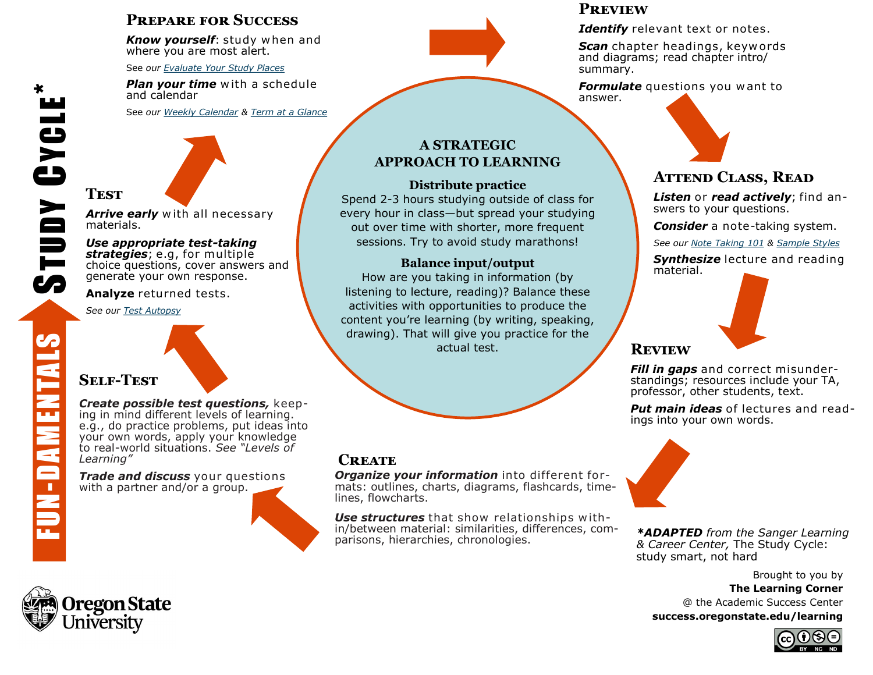## **Prepare for Success**

*Know yourself*: study w hen and where you are most alert.

See *our [Evaluate Your Study Places](https://success.oregonstate.edu/sites/success.oregonstate.edu/files/LearningCorner/Tools/eval_study_places_20.pdf)*

*Plan your time* with a schedule and calendar

See *our [Weekly Calendar](https://success.oregonstate.edu/sites/success.oregonstate.edu/files/LearningCorner/Tools/weeklycalendar_20.pdf) & [Term at a Glance](https://success.oregonstate.edu/sites/success.oregonstate.edu/files/LearningCorner/Tools/lc_tag_20.pdf)*

## **Test**

Arrive early with all necessary materials.

#### *Use appropriate test-taking*

*strategies*; e.g, for multiple choice questions, cover answers and generate your own response.

**Analyze** returned tests.

*See our [Test Autopsy](https://success.oregonstate.edu/sites/success.oregonstate.edu/files/LearningCorner/Tools/test_autopsy_20.pdf)*

# **Self-Test**

*Create possible test questions,* keeping in mind different levels of learning. e.g., do practice problems, put ideas into your own words, apply your knowledge to real-world situations. *See "Levels of Learning"*

*Trade and discuss your questions* with a partner and/or a group.

### **A STRATEGIC APPROACH TO LEARNING**

### **Distribute practice**

Spend 2-3 hours studying outside of class for every hour in class—but spread your studying out over time with shorter, more frequent sessions. Try to avoid study marathons!

### **Balance input/output**

How are you taking in information (by listening to lecture, reading)? Balance these activities with opportunities to produce the content you're learning (by writing, speaking, drawing). That will give you practice for the actual test.

### **Create**

*Organize your information* into different formats: outlines, charts, diagrams, flashcards, timelines, flowcharts.

*Use structures* that show relationships w ithin/between material: similarities, differences, comparisons, hierarchies, chronologies.

### **Preview**

*Identify* relevant text or notes.

**Scan** chapter headings, keywords and diagrams; read chapter intro/ summary.

*Formulate* questions you want to answer.

## **Attend Class, Read**

*Listen* or *read actively*; find answers to your questions.

*Consider* a note-taking system.

*See our [Note Taking 101](https://success.oregonstate.edu/sites/success.oregonstate.edu/files/LearningCorner/Tools/4-page_note_taking_20.pdf) & [Sample Styles](https://success.oregonstate.edu/sites/success.oregonstate.edu/files/note_taking_-_7_kinds_20.pdf)*

*Synthesize* lecture and reading material.



## **Review**

*Fill in gaps* and correct misunderstandings; resources include your TA, professor, other students, text.

*Put main ideas* of lectures and readings into your own words.



*\*ADAPTED from the Sanger Learning & Career Center,* The Study Cycle: study smart, not hard

Brought to you by **The Learning Corner** @ the Academic Success Center **success.oregonstate.edu/learning** 





\*